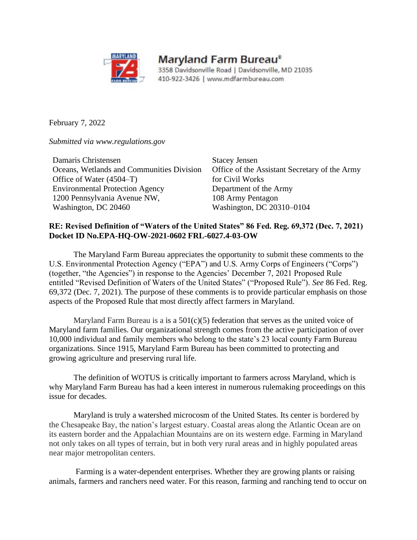

**Maryland Farm Bureau®** 3358 Davidsonville Road | Davidsonville, MD 21035 410-922-3426 | www.mdfarmbureau.com

February 7, 2022

*Submitted via www.regulations.gov*

Damaris Christensen Oceans, Wetlands and Communities Division Office of Water (4504–T) Environmental Protection Agency 1200 Pennsylvania Avenue NW, Washington, DC 20460

Stacey Jensen Office of the Assistant Secretary of the Army for Civil Works Department of the Army 108 Army Pentagon Washington, DC 20310–0104

# **RE: Revised Definition of "Waters of the United States" 86 Fed. Reg. 69,372 (Dec. 7, 2021) Docket ID No.EPA-HQ-OW-2021-0602 FRL-6027.4-03-OW**

The Maryland Farm Bureau appreciates the opportunity to submit these comments to the U.S. Environmental Protection Agency ("EPA") and U.S. Army Corps of Engineers ("Corps") (together, "the Agencies") in response to the Agencies' December 7, 2021 Proposed Rule entitled "Revised Definition of Waters of the United States" ("Proposed Rule"). *See* 86 Fed. Reg. 69,372 (Dec. 7, 2021). The purpose of these comments is to provide particular emphasis on those aspects of the Proposed Rule that most directly affect farmers in Maryland.

Maryland Farm Bureau is a is a  $501(c)(5)$  federation that serves as the united voice of Maryland farm families. Our organizational strength comes from the active participation of over 10,000 individual and family members who belong to the state's 23 local county Farm Bureau organizations. Since 1915, Maryland Farm Bureau has been committed to protecting and growing agriculture and preserving rural life.

The definition of WOTUS is critically important to farmers across Maryland, which is why Maryland Farm Bureau has had a keen interest in numerous rulemaking proceedings on this issue for decades.

Maryland is truly a watershed microcosm of the United States. Its center is bordered by the Chesapeake Bay, the nation's largest estuary. Coastal areas along the Atlantic Ocean are on its eastern border and the Appalachian Mountains are on its western edge. Farming in Maryland not only takes on all types of terrain, but in both very rural areas and in highly populated areas near major metropolitan centers.

Farming is a water-dependent enterprises. Whether they are growing plants or raising animals, farmers and ranchers need water. For this reason, farming and ranching tend to occur on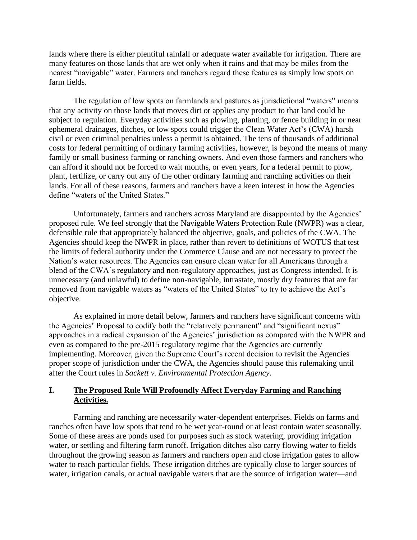lands where there is either plentiful rainfall or adequate water available for irrigation. There are many features on those lands that are wet only when it rains and that may be miles from the nearest "navigable" water. Farmers and ranchers regard these features as simply low spots on farm fields.

The regulation of low spots on farmlands and pastures as jurisdictional "waters" means that any activity on those lands that moves dirt or applies any product to that land could be subject to regulation. Everyday activities such as plowing, planting, or fence building in or near ephemeral drainages, ditches, or low spots could trigger the Clean Water Act's (CWA) harsh civil or even criminal penalties unless a permit is obtained. The tens of thousands of additional costs for federal permitting of ordinary farming activities, however, is beyond the means of many family or small business farming or ranching owners. And even those farmers and ranchers who can afford it should not be forced to wait months, or even years, for a federal permit to plow, plant, fertilize, or carry out any of the other ordinary farming and ranching activities on their lands. For all of these reasons, farmers and ranchers have a keen interest in how the Agencies define "waters of the United States."

Unfortunately, farmers and ranchers across Maryland are disappointed by the Agencies' proposed rule. We feel strongly that the Navigable Waters Protection Rule (NWPR) was a clear, defensible rule that appropriately balanced the objective, goals, and policies of the CWA. The Agencies should keep the NWPR in place, rather than revert to definitions of WOTUS that test the limits of federal authority under the Commerce Clause and are not necessary to protect the Nation's water resources. The Agencies can ensure clean water for all Americans through a blend of the CWA's regulatory and non-regulatory approaches, just as Congress intended. It is unnecessary (and unlawful) to define non-navigable, intrastate, mostly dry features that are far removed from navigable waters as "waters of the United States" to try to achieve the Act's objective.

As explained in more detail below, farmers and ranchers have significant concerns with the Agencies' Proposal to codify both the "relatively permanent" and "significant nexus" approaches in a radical expansion of the Agencies' jurisdiction as compared with the NWPR and even as compared to the pre-2015 regulatory regime that the Agencies are currently implementing. Moreover, given the Supreme Court's recent decision to revisit the Agencies proper scope of jurisdiction under the CWA, the Agencies should pause this rulemaking until after the Court rules in *Sackett v. Environmental Protection Agency*.

#### **I. The Proposed Rule Will Profoundly Affect Everyday Farming and Ranching Activities.**

Farming and ranching are necessarily water-dependent enterprises. Fields on farms and ranches often have low spots that tend to be wet year-round or at least contain water seasonally. Some of these areas are ponds used for purposes such as stock watering, providing irrigation water, or settling and filtering farm runoff. Irrigation ditches also carry flowing water to fields throughout the growing season as farmers and ranchers open and close irrigation gates to allow water to reach particular fields. These irrigation ditches are typically close to larger sources of water, irrigation canals, or actual navigable waters that are the source of irrigation water—and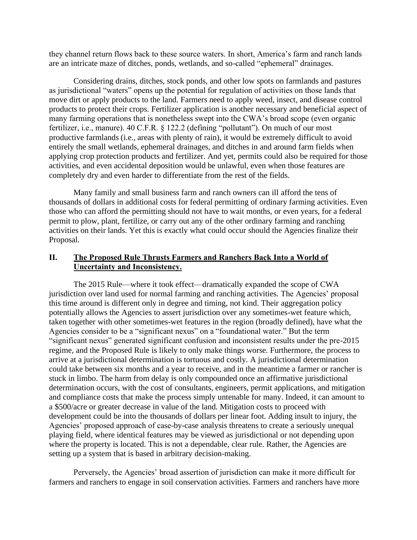they channel return flows back to these source waters. In short, America's farm and ranch lands are an intricate maze of ditches, ponds, wetlands, and so-called "ephemeral" drainages.

Considering drains, ditches, stock ponds, and other low spots on farmlands and pastures as jurisdictional "waters" opens up the potential for regulation of activities on those lands that move dirt or apply products to the land. Farmers need to apply weed, insect, and disease control products to protect their crops. Fertilizer application is another necessary and beneficial aspect of many farming operations that is nonetheless swept into the CWA's broad scope (even organic fertilizer, i.e., manure). 40 C.F.R. § 122.2 (defining "pollutant"). On much of our most productive farmlands (i.e., areas with plenty of rain), it would be extremely difficult to avoid entirely the small wetlands, ephemeral drainages, and ditches in and around farm fields when applying crop protection products and fertilizer. And yet, permits could also be required for those activities, and even accidental deposition would be unlawful, even when those features are completely dry and even harder to differentiate from the rest of the fields.

Many family and small business farm and ranch owners can ill afford the tens of thousands of dollars in additional costs for federal permitting of ordinary farming activities. Even those who can afford the permitting should not have to wait months, or even years, for a federal permit to plow, plant, fertilize, or carry out any of the other ordinary farming and ranching activities on their lands. Yet this is exactly what could occur should the Agencies finalize their Proposal.

#### **II. The Proposed Rule Thrusts Farmers and Ranchers Back Into a World of Uncertainty and Inconsistency.**

The 2015 Rule—where it took effect—dramatically expanded the scope of CWA jurisdiction over land used for normal farming and ranching activities. The Agencies' proposal this time around is different only in degree and timing, not kind. Their aggregation policy potentially allows the Agencies to assert jurisdiction over any sometimes-wet feature which, taken together with other sometimes-wet features in the region (broadly defined), have what the Agencies consider to be a "significant nexus" on a "foundational water." But the term "significant nexus" generated significant confusion and inconsistent results under the pre-2015 regime, and the Proposed Rule is likely to only make things worse. Furthermore, the process to arrive at a jurisdictional determination is tortuous and costly. A jurisdictional determination could take between six months and a year to receive, and in the meantime a farmer or rancher is stuck in limbo. The harm from delay is only compounded once an affirmative jurisdictional determination occurs, with the cost of consultants, engineers, permit applications, and mitigation and compliance costs that make the process simply untenable for many. Indeed, it can amount to a \$500/acre or greater decrease in value of the land. Mitigation costs to proceed with development could be into the thousands of dollars per linear foot. Adding insult to injury, the Agencies' proposed approach of case-by-case analysis threatens to create a seriously unequal playing field, where identical features may be viewed as jurisdictional or not depending upon where the property is located. This is not a dependable, clear rule. Rather, the Agencies are setting up a system that is based in arbitrary decision-making.

Perversely, the Agencies' broad assertion of jurisdiction can make it more difficult for farmers and ranchers to engage in soil conservation activities. Farmers and ranchers have more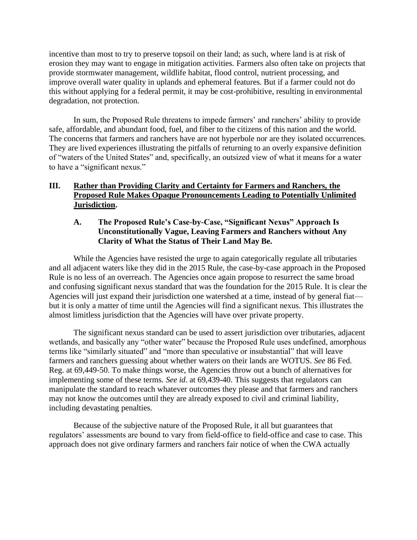incentive than most to try to preserve topsoil on their land; as such, where land is at risk of erosion they may want to engage in mitigation activities. Farmers also often take on projects that provide stormwater management, wildlife habitat, flood control, nutrient processing, and improve overall water quality in uplands and ephemeral features. But if a farmer could not do this without applying for a federal permit, it may be cost-prohibitive, resulting in environmental degradation, not protection.

In sum, the Proposed Rule threatens to impede farmers' and ranchers' ability to provide safe, affordable, and abundant food, fuel, and fiber to the citizens of this nation and the world. The concerns that farmers and ranchers have are not hyperbole nor are they isolated occurrences. They are lived experiences illustrating the pitfalls of returning to an overly expansive definition of "waters of the United States" and, specifically, an outsized view of what it means for a water to have a "significant nexus."

# **III. Rather than Providing Clarity and Certainty for Farmers and Ranchers, the Proposed Rule Makes Opaque Pronouncements Leading to Potentially Unlimited Jurisdiction.**

## **A. The Proposed Rule's Case-by-Case, "Significant Nexus" Approach Is Unconstitutionally Vague, Leaving Farmers and Ranchers without Any Clarity of What the Status of Their Land May Be.**

While the Agencies have resisted the urge to again categorically regulate all tributaries and all adjacent waters like they did in the 2015 Rule, the case-by-case approach in the Proposed Rule is no less of an overreach. The Agencies once again propose to resurrect the same broad and confusing significant nexus standard that was the foundation for the 2015 Rule. It is clear the Agencies will just expand their jurisdiction one watershed at a time, instead of by general fiat but it is only a matter of time until the Agencies will find a significant nexus. This illustrates the almost limitless jurisdiction that the Agencies will have over private property.

The significant nexus standard can be used to assert jurisdiction over tributaries, adjacent wetlands, and basically any "other water" because the Proposed Rule uses undefined, amorphous terms like "similarly situated" and "more than speculative or insubstantial" that will leave farmers and ranchers guessing about whether waters on their lands are WOTUS. *See* 86 Fed. Reg. at 69,449-50. To make things worse, the Agencies throw out a bunch of alternatives for implementing some of these terms. *See id*. at 69,439-40. This suggests that regulators can manipulate the standard to reach whatever outcomes they please and that farmers and ranchers may not know the outcomes until they are already exposed to civil and criminal liability, including devastating penalties.

Because of the subjective nature of the Proposed Rule, it all but guarantees that regulators' assessments are bound to vary from field-office to field-office and case to case. This approach does not give ordinary farmers and ranchers fair notice of when the CWA actually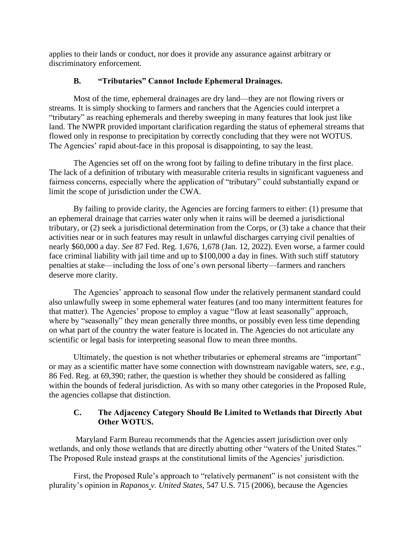applies to their lands or conduct, nor does it provide any assurance against arbitrary or discriminatory enforcement.

# **B. "Tributaries" Cannot Include Ephemeral Drainages.**

Most of the time, ephemeral drainages are dry land—they are not flowing rivers or streams. It is simply shocking to farmers and ranchers that the Agencies could interpret a "tributary" as reaching ephemerals and thereby sweeping in many features that look just like land. The NWPR provided important clarification regarding the status of ephemeral streams that flowed only in response to precipitation by correctly concluding that they were not WOTUS. The Agencies' rapid about-face in this proposal is disappointing, to say the least.

The Agencies set off on the wrong foot by failing to define tributary in the first place. The lack of a definition of tributary with measurable criteria results in significant vagueness and fairness concerns, especially where the application of "tributary" could substantially expand or limit the scope of jurisdiction under the CWA.

By failing to provide clarity, the Agencies are forcing farmers to either: (1) presume that an ephemeral drainage that carries water only when it rains will be deemed a jurisdictional tributary, or (2) seek a jurisdictional determination from the Corps, or (3) take a chance that their activities near or in such features may result in unlawful discharges carrying civil penalties of nearly \$60,000 a day. *See* 87 Fed. Reg. 1,676, 1,678 (Jan. 12, 2022). Even worse, a farmer could face criminal liability with jail time and up to \$100,000 a day in fines. With such stiff statutory penalties at stake—including the loss of one's own personal liberty—farmers and ranchers deserve more clarity.

The Agencies' approach to seasonal flow under the relatively permanent standard could also unlawfully sweep in some ephemeral water features (and too many intermittent features for that matter). The Agencies' propose to employ a vague "flow at least seasonally" approach, where by "seasonally" they mean generally three months, or possibly even less time depending on what part of the country the water feature is located in. The Agencies do not articulate any scientific or legal basis for interpreting seasonal flow to mean three months.

Ultimately, the question is not whether tributaries or ephemeral streams are "important" or may as a scientific matter have some connection with downstream navigable waters, *see*, *e.g.*, 86 Fed. Reg. at 69,390; rather, the question is whether they should be considered as falling within the bounds of federal jurisdiction. As with so many other categories in the Proposed Rule, the agencies collapse that distinction.

## **C. The Adjacency Category Should Be Limited to Wetlands that Directly Abut Other WOTUS.**

Maryland Farm Bureau recommends that the Agencies assert jurisdiction over only wetlands, and only those wetlands that are directly abutting other "waters of the United States." The Proposed Rule instead grasps at the constitutional limits of the Agencies' jurisdiction.

First, the Proposed Rule's approach to "relatively permanent" is not consistent with the plurality's opinion in *Rapanos v. United States*, 547 U.S. 715 (2006), because the Agencies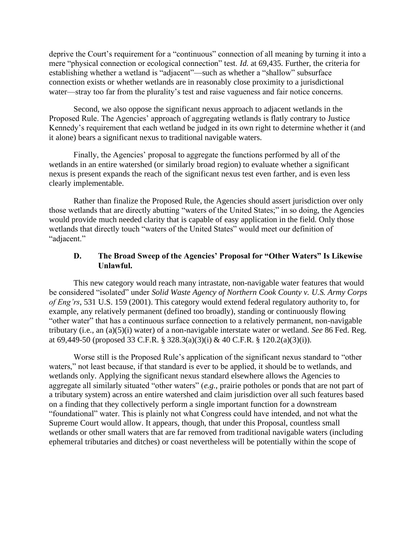deprive the Court's requirement for a "continuous" connection of all meaning by turning it into a mere "physical connection or ecological connection" test. *Id*. at 69,435. Further, the criteria for establishing whether a wetland is "adjacent"—such as whether a "shallow" subsurface connection exists or whether wetlands are in reasonably close proximity to a jurisdictional water—stray too far from the plurality's test and raise vagueness and fair notice concerns.

Second, we also oppose the significant nexus approach to adjacent wetlands in the Proposed Rule. The Agencies' approach of aggregating wetlands is flatly contrary to Justice Kennedy's requirement that each wetland be judged in its own right to determine whether it (and it alone) bears a significant nexus to traditional navigable waters.

Finally, the Agencies' proposal to aggregate the functions performed by all of the wetlands in an entire watershed (or similarly broad region) to evaluate whether a significant nexus is present expands the reach of the significant nexus test even farther, and is even less clearly implementable.

Rather than finalize the Proposed Rule, the Agencies should assert jurisdiction over only those wetlands that are directly abutting "waters of the United States;" in so doing, the Agencies would provide much needed clarity that is capable of easy application in the field. Only those wetlands that directly touch "waters of the United States" would meet our definition of "adjacent."

#### **D. The Broad Sweep of the Agencies' Proposal for "Other Waters" Is Likewise Unlawful.**

This new category would reach many intrastate, non-navigable water features that would be considered "isolated" under *Solid Waste Agency of Northern Cook County v. U.S. Army Corps of Eng'rs*, 531 U.S. 159 (2001). This category would extend federal regulatory authority to, for example, any relatively permanent (defined too broadly), standing or continuously flowing "other water" that has a continuous surface connection to a relatively permanent, non-navigable tributary (i.e., an (a)(5)(i) water) of a non-navigable interstate water or wetland. *See* 86 Fed. Reg. at 69,449-50 (proposed 33 C.F.R. § 328.3(a)(3)(i) & 40 C.F.R. § 120.2(a)(3)(i)).

Worse still is the Proposed Rule's application of the significant nexus standard to "other waters," not least because, if that standard is ever to be applied, it should be to wetlands, and wetlands only. Applying the significant nexus standard elsewhere allows the Agencies to aggregate all similarly situated "other waters" (*e.g.*, prairie potholes or ponds that are not part of a tributary system) across an entire watershed and claim jurisdiction over all such features based on a finding that they collectively perform a single important function for a downstream "foundational" water. This is plainly not what Congress could have intended, and not what the Supreme Court would allow. It appears, though, that under this Proposal, countless small wetlands or other small waters that are far removed from traditional navigable waters (including ephemeral tributaries and ditches) or coast nevertheless will be potentially within the scope of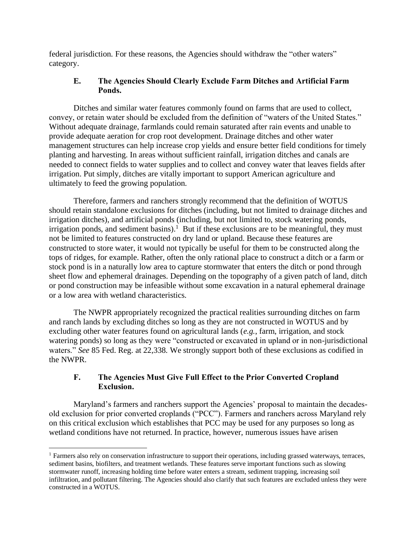federal jurisdiction. For these reasons, the Agencies should withdraw the "other waters" category.

## **E. The Agencies Should Clearly Exclude Farm Ditches and Artificial Farm Ponds.**

Ditches and similar water features commonly found on farms that are used to collect, convey, or retain water should be excluded from the definition of "waters of the United States." Without adequate drainage, farmlands could remain saturated after rain events and unable to provide adequate aeration for crop root development. Drainage ditches and other water management structures can help increase crop yields and ensure better field conditions for timely planting and harvesting. In areas without sufficient rainfall, irrigation ditches and canals are needed to connect fields to water supplies and to collect and convey water that leaves fields after irrigation. Put simply, ditches are vitally important to support American agriculture and ultimately to feed the growing population.

Therefore, farmers and ranchers strongly recommend that the definition of WOTUS should retain standalone exclusions for ditches (including, but not limited to drainage ditches and irrigation ditches), and artificial ponds (including, but not limited to, stock watering ponds, irrigation ponds, and sediment basins).<sup>1</sup> But if these exclusions are to be meaningful, they must not be limited to features constructed on dry land or upland. Because these features are constructed to store water, it would not typically be useful for them to be constructed along the tops of ridges, for example. Rather, often the only rational place to construct a ditch or a farm or stock pond is in a naturally low area to capture stormwater that enters the ditch or pond through sheet flow and ephemeral drainages. Depending on the topography of a given patch of land, ditch or pond construction may be infeasible without some excavation in a natural ephemeral drainage or a low area with wetland characteristics.

The NWPR appropriately recognized the practical realities surrounding ditches on farm and ranch lands by excluding ditches so long as they are not constructed in WOTUS and by excluding other water features found on agricultural lands (*e.g.*, farm, irrigation, and stock watering ponds) so long as they were "constructed or excavated in upland or in non-jurisdictional waters." *See* 85 Fed. Reg. at 22,338. We strongly support both of these exclusions as codified in the NWPR.

# **F. The Agencies Must Give Full Effect to the Prior Converted Cropland Exclusion.**

Maryland's farmers and ranchers support the Agencies' proposal to maintain the decadesold exclusion for prior converted croplands ("PCC"). Farmers and ranchers across Maryland rely on this critical exclusion which establishes that PCC may be used for any purposes so long as wetland conditions have not returned. In practice, however, numerous issues have arisen

<sup>&</sup>lt;sup>1</sup> Farmers also rely on conservation infrastructure to support their operations, including grassed waterways, terraces, sediment basins, biofilters, and treatment wetlands. These features serve important functions such as slowing stormwater runoff, increasing holding time before water enters a stream, sediment trapping, increasing soil infiltration, and pollutant filtering. The Agencies should also clarify that such features are excluded unless they were constructed in a WOTUS.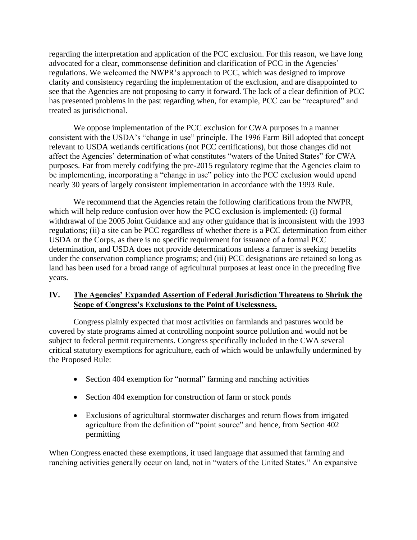regarding the interpretation and application of the PCC exclusion. For this reason, we have long advocated for a clear, commonsense definition and clarification of PCC in the Agencies' regulations. We welcomed the NWPR's approach to PCC, which was designed to improve clarity and consistency regarding the implementation of the exclusion, and are disappointed to see that the Agencies are not proposing to carry it forward. The lack of a clear definition of PCC has presented problems in the past regarding when, for example, PCC can be "recaptured" and treated as jurisdictional.

We oppose implementation of the PCC exclusion for CWA purposes in a manner consistent with the USDA's "change in use" principle. The 1996 Farm Bill adopted that concept relevant to USDA wetlands certifications (not PCC certifications), but those changes did not affect the Agencies' determination of what constitutes "waters of the United States" for CWA purposes. Far from merely codifying the pre-2015 regulatory regime that the Agencies claim to be implementing, incorporating a "change in use" policy into the PCC exclusion would upend nearly 30 years of largely consistent implementation in accordance with the 1993 Rule.

We recommend that the Agencies retain the following clarifications from the NWPR, which will help reduce confusion over how the PCC exclusion is implemented: (i) formal withdrawal of the 2005 Joint Guidance and any other guidance that is inconsistent with the 1993 regulations; (ii) a site can be PCC regardless of whether there is a PCC determination from either USDA or the Corps, as there is no specific requirement for issuance of a formal PCC determination, and USDA does not provide determinations unless a farmer is seeking benefits under the conservation compliance programs; and (iii) PCC designations are retained so long as land has been used for a broad range of agricultural purposes at least once in the preceding five years.

## **IV. The Agencies' Expanded Assertion of Federal Jurisdiction Threatens to Shrink the Scope of Congress's Exclusions to the Point of Uselessness.**

Congress plainly expected that most activities on farmlands and pastures would be covered by state programs aimed at controlling nonpoint source pollution and would not be subject to federal permit requirements. Congress specifically included in the CWA several critical statutory exemptions for agriculture, each of which would be unlawfully undermined by the Proposed Rule:

- Section 404 exemption for "normal" farming and ranching activities
- Section 404 exemption for construction of farm or stock ponds
- Exclusions of agricultural stormwater discharges and return flows from irrigated agriculture from the definition of "point source" and hence, from Section 402 permitting

When Congress enacted these exemptions, it used language that assumed that farming and ranching activities generally occur on land, not in "waters of the United States." An expansive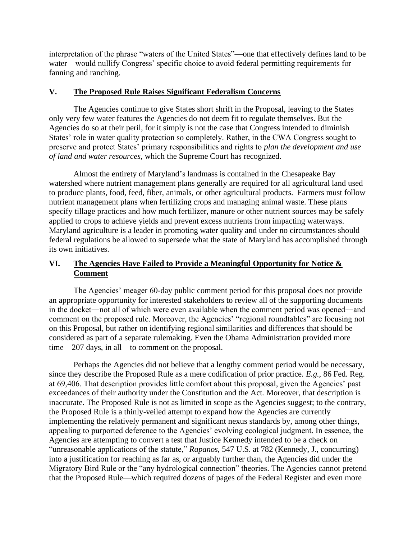interpretation of the phrase "waters of the United States"—one that effectively defines land to be water—would nullify Congress' specific choice to avoid federal permitting requirements for fanning and ranching.

#### **V. The Proposed Rule Raises Significant Federalism Concerns**

The Agencies continue to give States short shrift in the Proposal, leaving to the States only very few water features the Agencies do not deem fit to regulate themselves. But the Agencies do so at their peril, for it simply is not the case that Congress intended to diminish States' role in water quality protection so completely. Rather, in the CWA Congress sought to preserve and protect States' primary responsibilities and rights to *plan the development and use of land and water resources*, which the Supreme Court has recognized.

Almost the entirety of Maryland's landmass is contained in the Chesapeake Bay watershed where nutrient management plans generally are required for all agricultural land used to produce plants, food, feed, fiber, animals, or other agricultural products. Farmers must follow nutrient management plans when fertilizing crops and managing animal waste. These plans specify tillage practices and how much fertilizer, manure or other nutrient sources may be safely applied to crops to achieve yields and prevent excess nutrients from impacting waterways. Maryland agriculture is a leader in promoting water quality and under no circumstances should federal regulations be allowed to supersede what the state of Maryland has accomplished through its own initiatives.

# **VI. The Agencies Have Failed to Provide a Meaningful Opportunity for Notice & Comment**

The Agencies' meager 60-day public comment period for this proposal does not provide an appropriate opportunity for interested stakeholders to review all of the supporting documents in the docket―not all of which were even available when the comment period was opened―and comment on the proposed rule. Moreover, the Agencies' "regional roundtables" are focusing not on this Proposal, but rather on identifying regional similarities and differences that should be considered as part of a separate rulemaking. Even the Obama Administration provided more time—207 days, in all—to comment on the proposal.

Perhaps the Agencies did not believe that a lengthy comment period would be necessary, since they describe the Proposed Rule as a mere codification of prior practice. *E.g.*, 86 Fed. Reg. at 69,406. That description provides little comfort about this proposal, given the Agencies' past exceedances of their authority under the Constitution and the Act. Moreover, that description is inaccurate. The Proposed Rule is not as limited in scope as the Agencies suggest; to the contrary, the Proposed Rule is a thinly-veiled attempt to expand how the Agencies are currently implementing the relatively permanent and significant nexus standards by, among other things, appealing to purported deference to the Agencies' evolving ecological judgment. In essence, the Agencies are attempting to convert a test that Justice Kennedy intended to be a check on "unreasonable applications of the statute," *Rapanos*, 547 U.S. at 782 (Kennedy, J., concurring) into a justification for reaching as far as, or arguably further than, the Agencies did under the Migratory Bird Rule or the "any hydrological connection" theories. The Agencies cannot pretend that the Proposed Rule—which required dozens of pages of the Federal Register and even more